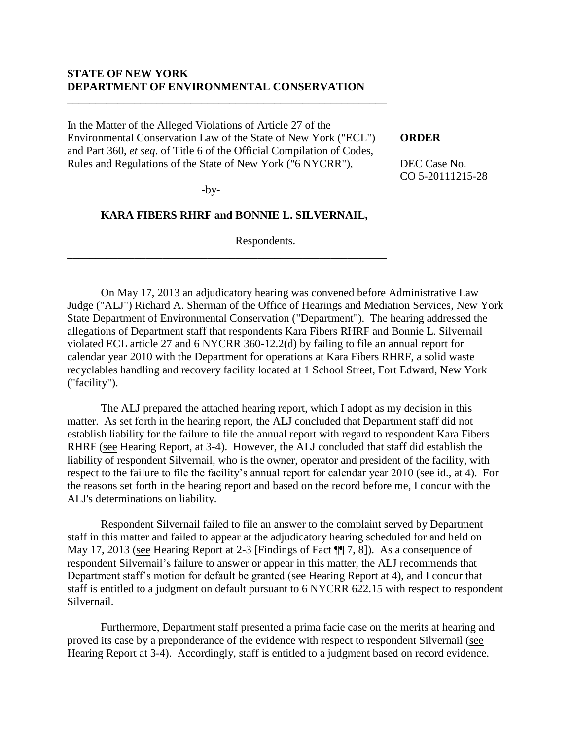## **STATE OF NEW YORK DEPARTMENT OF ENVIRONMENTAL CONSERVATION**

In the Matter of the Alleged Violations of Article 27 of the Environmental Conservation Law of the State of New York ("ECL") and Part 360, *et seq*. of Title 6 of the Official Compilation of Codes, Rules and Regulations of the State of New York ("6 NYCRR"),

\_\_\_\_\_\_\_\_\_\_\_\_\_\_\_\_\_\_\_\_\_\_\_\_\_\_\_\_\_\_\_\_\_\_\_\_\_\_\_\_\_\_\_\_\_\_\_\_\_\_\_\_\_\_\_\_\_

#### **ORDER**

DEC Case No. CO 5-20111215-28

-by-

#### **KARA FIBERS RHRF and BONNIE L. SILVERNAIL,**

\_\_\_\_\_\_\_\_\_\_\_\_\_\_\_\_\_\_\_\_\_\_\_\_\_\_\_\_\_\_\_\_\_\_\_\_\_\_\_\_\_\_\_\_\_\_\_\_\_\_\_\_\_\_\_\_\_

Respondents.

On May 17, 2013 an adjudicatory hearing was convened before Administrative Law Judge ("ALJ") Richard A. Sherman of the Office of Hearings and Mediation Services, New York State Department of Environmental Conservation ("Department"). The hearing addressed the allegations of Department staff that respondents Kara Fibers RHRF and Bonnie L. Silvernail violated ECL article 27 and 6 NYCRR 360-12.2(d) by failing to file an annual report for calendar year 2010 with the Department for operations at Kara Fibers RHRF, a solid waste recyclables handling and recovery facility located at 1 School Street, Fort Edward, New York ("facility").

The ALJ prepared the attached hearing report, which I adopt as my decision in this matter. As set forth in the hearing report, the ALJ concluded that Department staff did not establish liability for the failure to file the annual report with regard to respondent Kara Fibers RHRF (see Hearing Report, at 3-4). However, the ALJ concluded that staff did establish the liability of respondent Silvernail, who is the owner, operator and president of the facility, with respect to the failure to file the facility's annual report for calendar year 2010 (see id., at 4). For the reasons set forth in the hearing report and based on the record before me, I concur with the ALJ's determinations on liability.

Respondent Silvernail failed to file an answer to the complaint served by Department staff in this matter and failed to appear at the adjudicatory hearing scheduled for and held on May 17, 2013 (see Hearing Report at 2-3 [Findings of Fact ¶¶ 7, 8]). As a consequence of respondent Silvernail's failure to answer or appear in this matter, the ALJ recommends that Department staff's motion for default be granted (see Hearing Report at 4), and I concur that staff is entitled to a judgment on default pursuant to 6 NYCRR 622.15 with respect to respondent Silvernail.

Furthermore, Department staff presented a prima facie case on the merits at hearing and proved its case by a preponderance of the evidence with respect to respondent Silvernail (see Hearing Report at 3-4). Accordingly, staff is entitled to a judgment based on record evidence.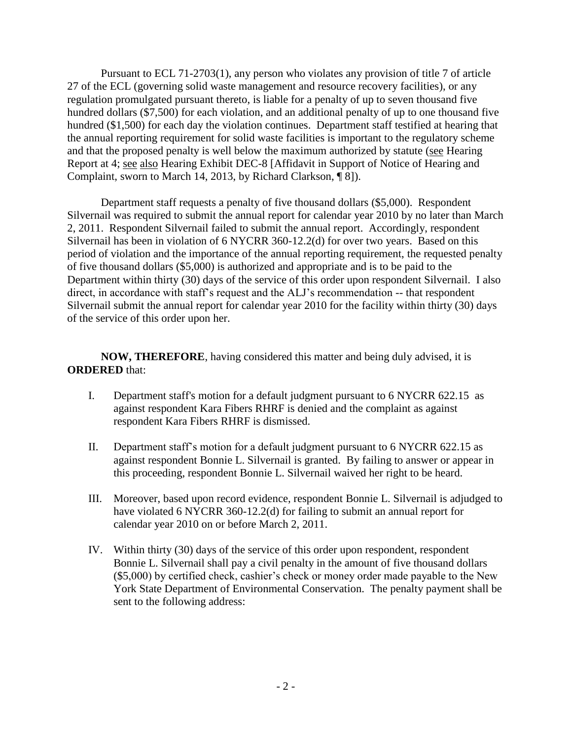Pursuant to ECL 71-2703(1), any person who violates any provision of title 7 of article 27 of the ECL (governing solid waste management and resource recovery facilities), or any regulation promulgated pursuant thereto, is liable for a penalty of up to seven thousand five hundred dollars (\$7,500) for each violation, and an additional penalty of up to one thousand five hundred (\$1,500) for each day the violation continues. Department staff testified at hearing that the annual reporting requirement for solid waste facilities is important to the regulatory scheme and that the proposed penalty is well below the maximum authorized by statute (see Hearing Report at 4; see also Hearing Exhibit DEC-8 [Affidavit in Support of Notice of Hearing and Complaint, sworn to March 14, 2013, by Richard Clarkson, ¶ 8]).

Department staff requests a penalty of five thousand dollars (\$5,000). Respondent Silvernail was required to submit the annual report for calendar year 2010 by no later than March 2, 2011. Respondent Silvernail failed to submit the annual report. Accordingly, respondent Silvernail has been in violation of 6 NYCRR 360-12.2(d) for over two years. Based on this period of violation and the importance of the annual reporting requirement, the requested penalty of five thousand dollars (\$5,000) is authorized and appropriate and is to be paid to the Department within thirty (30) days of the service of this order upon respondent Silvernail. I also direct, in accordance with staff's request and the ALJ's recommendation -- that respondent Silvernail submit the annual report for calendar year 2010 for the facility within thirty (30) days of the service of this order upon her.

# **NOW, THEREFORE**, having considered this matter and being duly advised, it is **ORDERED** that:

- I. Department staff's motion for a default judgment pursuant to 6 NYCRR 622.15 as against respondent Kara Fibers RHRF is denied and the complaint as against respondent Kara Fibers RHRF is dismissed.
- II. Department staff's motion for a default judgment pursuant to 6 NYCRR 622.15 as against respondent Bonnie L. Silvernail is granted. By failing to answer or appear in this proceeding, respondent Bonnie L. Silvernail waived her right to be heard.
- III. Moreover, based upon record evidence, respondent Bonnie L. Silvernail is adjudged to have violated 6 NYCRR 360-12.2(d) for failing to submit an annual report for calendar year 2010 on or before March 2, 2011.
- IV. Within thirty (30) days of the service of this order upon respondent, respondent Bonnie L. Silvernail shall pay a civil penalty in the amount of five thousand dollars (\$5,000) by certified check, cashier's check or money order made payable to the New York State Department of Environmental Conservation. The penalty payment shall be sent to the following address: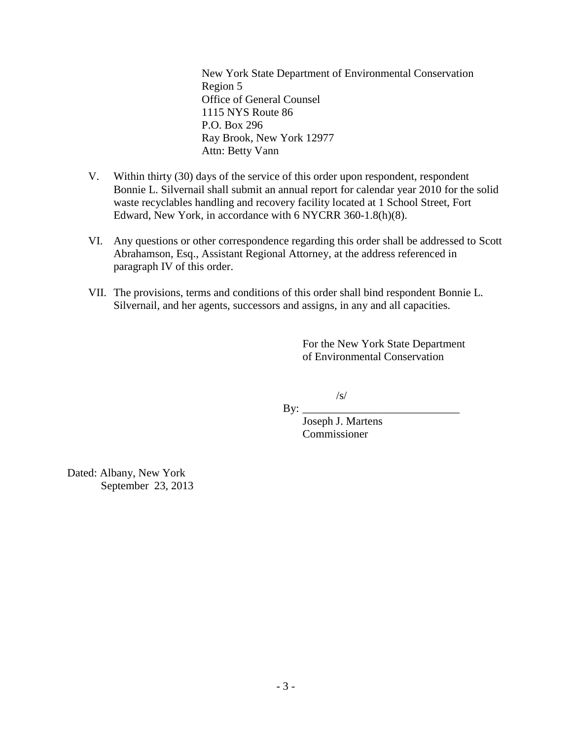New York State Department of Environmental Conservation Region 5 Office of General Counsel 1115 NYS Route 86 P.O. Box 296 Ray Brook, New York 12977 Attn: Betty Vann

- V. Within thirty (30) days of the service of this order upon respondent, respondent Bonnie L. Silvernail shall submit an annual report for calendar year 2010 for the solid waste recyclables handling and recovery facility located at 1 School Street, Fort Edward, New York, in accordance with 6 NYCRR 360-1.8(h)(8).
- VI. Any questions or other correspondence regarding this order shall be addressed to Scott Abrahamson, Esq., Assistant Regional Attorney, at the address referenced in paragraph IV of this order.
- VII. The provisions, terms and conditions of this order shall bind respondent Bonnie L. Silvernail, and her agents, successors and assigns, in any and all capacities.

For the New York State Department of Environmental Conservation

/s/

By:  $\perp$ 

Joseph J. Martens Commissioner

Dated: Albany, New York September 23, 2013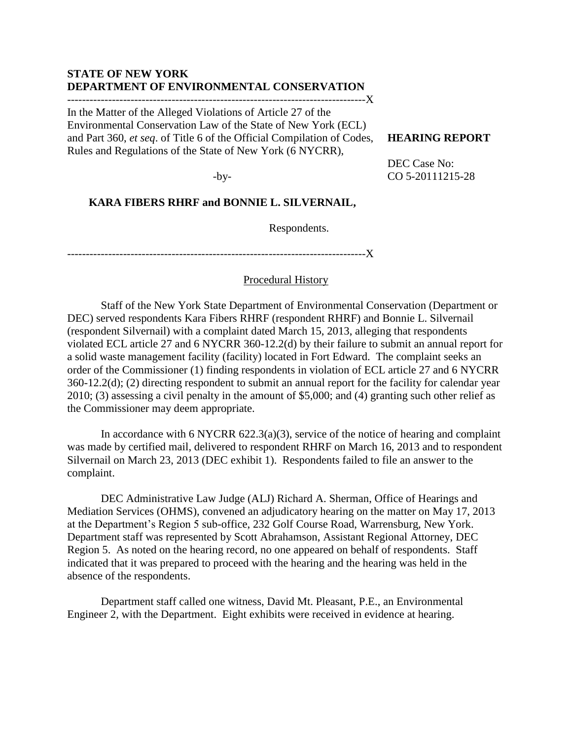## **STATE OF NEW YORK DEPARTMENT OF ENVIRONMENTAL CONSERVATION**

--------------------------------------------------------------------------------X In the Matter of the Alleged Violations of Article 27 of the

Environmental Conservation Law of the State of New York (ECL) and Part 360, *et seq*. of Title 6 of the Official Compilation of Codes, Rules and Regulations of the State of New York (6 NYCRR),

## **HEARING REPORT**

-by-

DEC Case No: CO 5-20111215-28

# **KARA FIBERS RHRF and BONNIE L. SILVERNAIL,**

Respondents.

--------------------------------------------------------------------------------X

## Procedural History

Staff of the New York State Department of Environmental Conservation (Department or DEC) served respondents Kara Fibers RHRF (respondent RHRF) and Bonnie L. Silvernail (respondent Silvernail) with a complaint dated March 15, 2013, alleging that respondents violated ECL article 27 and 6 NYCRR 360-12.2(d) by their failure to submit an annual report for a solid waste management facility (facility) located in Fort Edward. The complaint seeks an order of the Commissioner (1) finding respondents in violation of ECL article 27 and 6 NYCRR 360-12.2(d); (2) directing respondent to submit an annual report for the facility for calendar year 2010; (3) assessing a civil penalty in the amount of \$5,000; and (4) granting such other relief as the Commissioner may deem appropriate.

In accordance with 6 NYCRR  $622.3(a)(3)$ , service of the notice of hearing and complaint was made by certified mail, delivered to respondent RHRF on March 16, 2013 and to respondent Silvernail on March 23, 2013 (DEC exhibit 1). Respondents failed to file an answer to the complaint.

DEC Administrative Law Judge (ALJ) Richard A. Sherman, Office of Hearings and Mediation Services (OHMS), convened an adjudicatory hearing on the matter on May 17, 2013 at the Department's Region 5 sub-office, 232 Golf Course Road, Warrensburg, New York. Department staff was represented by Scott Abrahamson, Assistant Regional Attorney, DEC Region 5. As noted on the hearing record, no one appeared on behalf of respondents. Staff indicated that it was prepared to proceed with the hearing and the hearing was held in the absence of the respondents.

Department staff called one witness, David Mt. Pleasant, P.E., an Environmental Engineer 2, with the Department. Eight exhibits were received in evidence at hearing.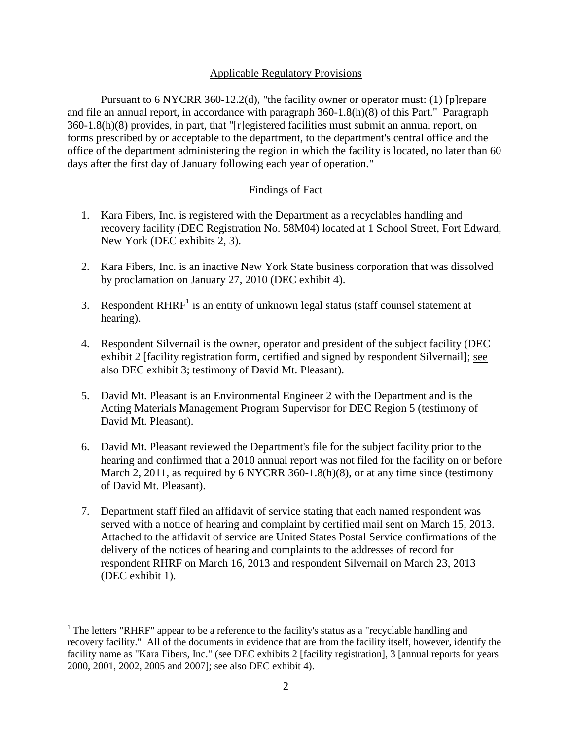## Applicable Regulatory Provisions

Pursuant to 6 NYCRR 360-12.2(d), "the facility owner or operator must: (1) [p]repare and file an annual report, in accordance with paragraph 360-1.8(h)(8) of this Part." Paragraph 360-1.8(h)(8) provides, in part, that "[r]egistered facilities must submit an annual report, on forms prescribed by or acceptable to the department, to the department's central office and the office of the department administering the region in which the facility is located, no later than 60 days after the first day of January following each year of operation."

## Findings of Fact

- 1. Kara Fibers, Inc. is registered with the Department as a recyclables handling and recovery facility (DEC Registration No. 58M04) located at 1 School Street, Fort Edward, New York (DEC exhibits 2, 3).
- 2. Kara Fibers, Inc. is an inactive New York State business corporation that was dissolved by proclamation on January 27, 2010 (DEC exhibit 4).
- 3. Respondent  $RHRF<sup>1</sup>$  is an entity of unknown legal status (staff counsel statement at hearing).
	- 4. Respondent Silvernail is the owner, operator and president of the subject facility (DEC exhibit 2 [facility registration form, certified and signed by respondent Silvernail]; see also DEC exhibit 3; testimony of David Mt. Pleasant).
	- 5. David Mt. Pleasant is an Environmental Engineer 2 with the Department and is the Acting Materials Management Program Supervisor for DEC Region 5 (testimony of David Mt. Pleasant).
	- 6. David Mt. Pleasant reviewed the Department's file for the subject facility prior to the hearing and confirmed that a 2010 annual report was not filed for the facility on or before March 2, 2011, as required by 6 NYCRR 360-1.8(h)(8), or at any time since (testimony of David Mt. Pleasant).
	- 7. Department staff filed an affidavit of service stating that each named respondent was served with a notice of hearing and complaint by certified mail sent on March 15, 2013. Attached to the affidavit of service are United States Postal Service confirmations of the delivery of the notices of hearing and complaints to the addresses of record for respondent RHRF on March 16, 2013 and respondent Silvernail on March 23, 2013 (DEC exhibit 1).

 $\overline{a}$ 

<sup>&</sup>lt;sup>1</sup> The letters "RHRF" appear to be a reference to the facility's status as a "recyclable handling and recovery facility." All of the documents in evidence that are from the facility itself, however, identify the facility name as "Kara Fibers, Inc." (see DEC exhibits 2 [facility registration], 3 [annual reports for years 2000, 2001, 2002, 2005 and 2007]; see also DEC exhibit 4).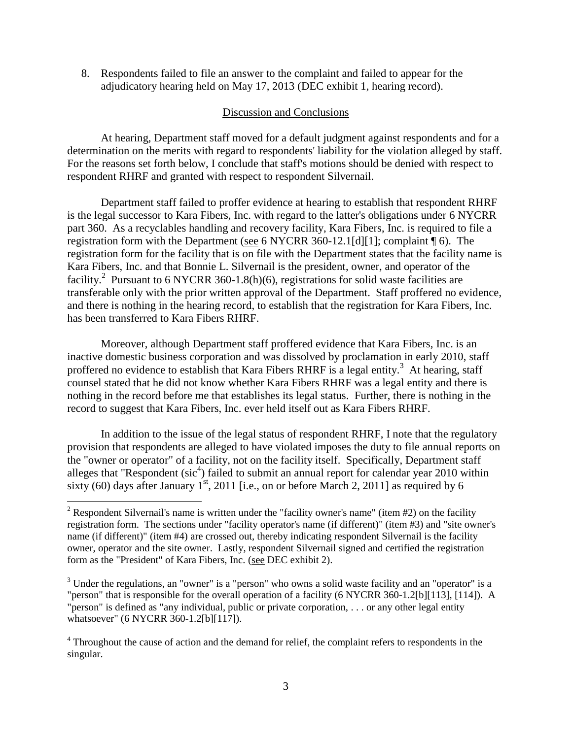8. Respondents failed to file an answer to the complaint and failed to appear for the adjudicatory hearing held on May 17, 2013 (DEC exhibit 1, hearing record).

## Discussion and Conclusions

At hearing, Department staff moved for a default judgment against respondents and for a determination on the merits with regard to respondents' liability for the violation alleged by staff. For the reasons set forth below, I conclude that staff's motions should be denied with respect to respondent RHRF and granted with respect to respondent Silvernail.

Department staff failed to proffer evidence at hearing to establish that respondent RHRF is the legal successor to Kara Fibers, Inc. with regard to the latter's obligations under 6 NYCRR part 360. As a recyclables handling and recovery facility, Kara Fibers, Inc. is required to file a registration form with the Department (see 6 NYCRR 360-12.1[d][1]; complaint ¶ 6). The registration form for the facility that is on file with the Department states that the facility name is Kara Fibers, Inc. and that Bonnie L. Silvernail is the president, owner, and operator of the facility.<sup>2</sup> Pursuant to 6 NYCRR 360-1.8(h)(6), registrations for solid waste facilities are transferable only with the prior written approval of the Department. Staff proffered no evidence, and there is nothing in the hearing record, to establish that the registration for Kara Fibers, Inc. has been transferred to Kara Fibers RHRF.

Moreover, although Department staff proffered evidence that Kara Fibers, Inc. is an inactive domestic business corporation and was dissolved by proclamation in early 2010, staff proffered no evidence to establish that Kara Fibers RHRF is a legal entity.<sup>3</sup> At hearing, staff counsel stated that he did not know whether Kara Fibers RHRF was a legal entity and there is nothing in the record before me that establishes its legal status. Further, there is nothing in the record to suggest that Kara Fibers, Inc. ever held itself out as Kara Fibers RHRF.

In addition to the issue of the legal status of respondent RHRF, I note that the regulatory provision that respondents are alleged to have violated imposes the duty to file annual reports on the "owner or operator" of a facility, not on the facility itself. Specifically, Department staff alleges that "Respondent ( $\text{sic}^4$ ) failed to submit an annual report for calendar year 2010 within sixty (60) days after January  $1<sup>st</sup>$ , 2011 [i.e., on or before March 2, 2011] as required by 6

 $\overline{a}$ 

<sup>&</sup>lt;sup>2</sup> Respondent Silvernail's name is written under the "facility owner's name" (item  $#2$ ) on the facility registration form. The sections under "facility operator's name (if different)" (item #3) and "site owner's name (if different)" (item #4) are crossed out, thereby indicating respondent Silvernail is the facility owner, operator and the site owner. Lastly, respondent Silvernail signed and certified the registration form as the "President" of Kara Fibers, Inc. (see DEC exhibit 2).

<sup>&</sup>lt;sup>3</sup> Under the regulations, an "owner" is a "person" who owns a solid waste facility and an "operator" is a "person" that is responsible for the overall operation of a facility (6 NYCRR 360-1.2[b][113], [114]). A "person" is defined as "any individual, public or private corporation, . . . or any other legal entity whatsoever" (6 NYCRR 360-1.2[b][117]).

<sup>&</sup>lt;sup>4</sup> Throughout the cause of action and the demand for relief, the complaint refers to respondents in the singular.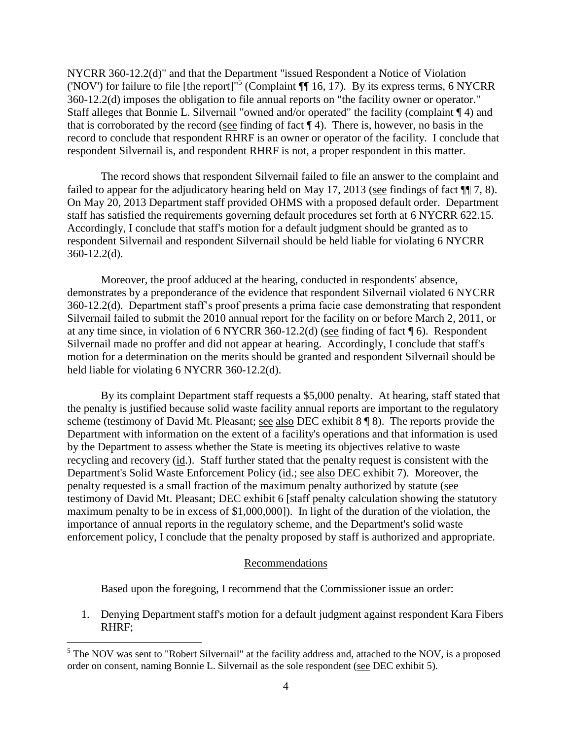NYCRR 360-12.2(d)" and that the Department "issued Respondent a Notice of Violation ('NOV') for failure to file [the report]<sup>15</sup> (Complaint  $\P\P$  16, 17). By its express terms, 6 NYCRR 360-12.2(d) imposes the obligation to file annual reports on "the facility owner or operator." Staff alleges that Bonnie L. Silvernail "owned and/or operated" the facility (complaint ¶ 4) and that is corroborated by the record (see finding of fact  $\P$  4). There is, however, no basis in the record to conclude that respondent RHRF is an owner or operator of the facility. I conclude that respondent Silvernail is, and respondent RHRF is not, a proper respondent in this matter.

The record shows that respondent Silvernail failed to file an answer to the complaint and failed to appear for the adjudicatory hearing held on May 17, 2013 (see findings of fact ¶¶ 7, 8). On May 20, 2013 Department staff provided OHMS with a proposed default order. Department staff has satisfied the requirements governing default procedures set forth at 6 NYCRR 622.15. Accordingly, I conclude that staff's motion for a default judgment should be granted as to respondent Silvernail and respondent Silvernail should be held liable for violating 6 NYCRR 360-12.2(d).

Moreover, the proof adduced at the hearing, conducted in respondents' absence, demonstrates by a preponderance of the evidence that respondent Silvernail violated 6 NYCRR 360-12.2(d). Department staff's proof presents a prima facie case demonstrating that respondent Silvernail failed to submit the 2010 annual report for the facility on or before March 2, 2011, or at any time since, in violation of 6 NYCRR 360-12.2(d) (see finding of fact ¶ 6). Respondent Silvernail made no proffer and did not appear at hearing. Accordingly, I conclude that staff's motion for a determination on the merits should be granted and respondent Silvernail should be held liable for violating 6 NYCRR 360-12.2(d).

By its complaint Department staff requests a \$5,000 penalty. At hearing, staff stated that the penalty is justified because solid waste facility annual reports are important to the regulatory scheme (testimony of David Mt. Pleasant; see also DEC exhibit 8 ¶ 8). The reports provide the Department with information on the extent of a facility's operations and that information is used by the Department to assess whether the State is meeting its objectives relative to waste recycling and recovery (id.). Staff further stated that the penalty request is consistent with the Department's Solid Waste Enforcement Policy (id.; see also DEC exhibit 7). Moreover, the penalty requested is a small fraction of the maximum penalty authorized by statute (see testimony of David Mt. Pleasant; DEC exhibit 6 [staff penalty calculation showing the statutory maximum penalty to be in excess of \$1,000,000]). In light of the duration of the violation, the importance of annual reports in the regulatory scheme, and the Department's solid waste enforcement policy, I conclude that the penalty proposed by staff is authorized and appropriate.

#### Recommendations

Based upon the foregoing, I recommend that the Commissioner issue an order:

 1. Denying Department staff's motion for a default judgment against respondent Kara Fibers RHRF;

 $\overline{a}$ 

<sup>&</sup>lt;sup>5</sup> The NOV was sent to "Robert Silvernail" at the facility address and, attached to the NOV, is a proposed order on consent, naming Bonnie L. Silvernail as the sole respondent (see DEC exhibit 5).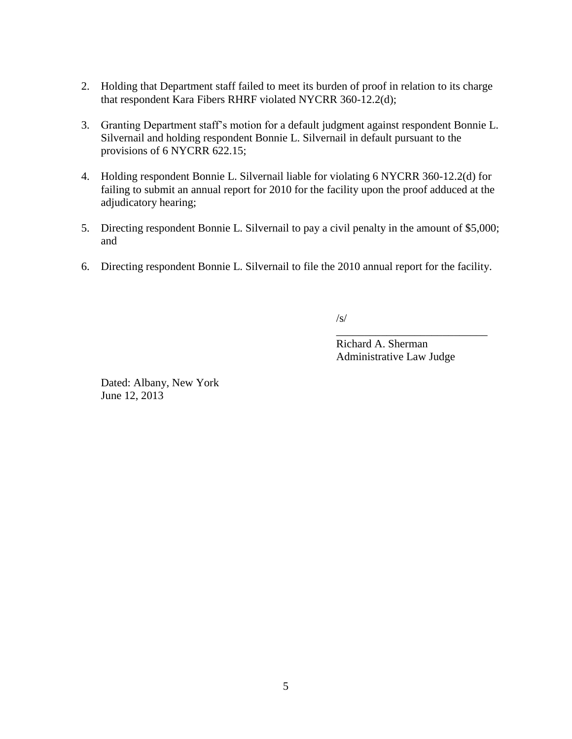- 2. Holding that Department staff failed to meet its burden of proof in relation to its charge that respondent Kara Fibers RHRF violated NYCRR 360-12.2(d);
- 3. Granting Department staff's motion for a default judgment against respondent Bonnie L. Silvernail and holding respondent Bonnie L. Silvernail in default pursuant to the provisions of 6 NYCRR 622.15;
- 4. Holding respondent Bonnie L. Silvernail liable for violating 6 NYCRR 360-12.2(d) for failing to submit an annual report for 2010 for the facility upon the proof adduced at the adjudicatory hearing;
- 5. Directing respondent Bonnie L. Silvernail to pay a civil penalty in the amount of \$5,000; and
- 6. Directing respondent Bonnie L. Silvernail to file the 2010 annual report for the facility.

/s/

Richard A. Sherman Administrative Law Judge

\_\_\_\_\_\_\_\_\_\_\_\_\_\_\_\_\_\_\_\_\_\_\_\_\_\_\_

Dated: Albany, New York June 12, 2013